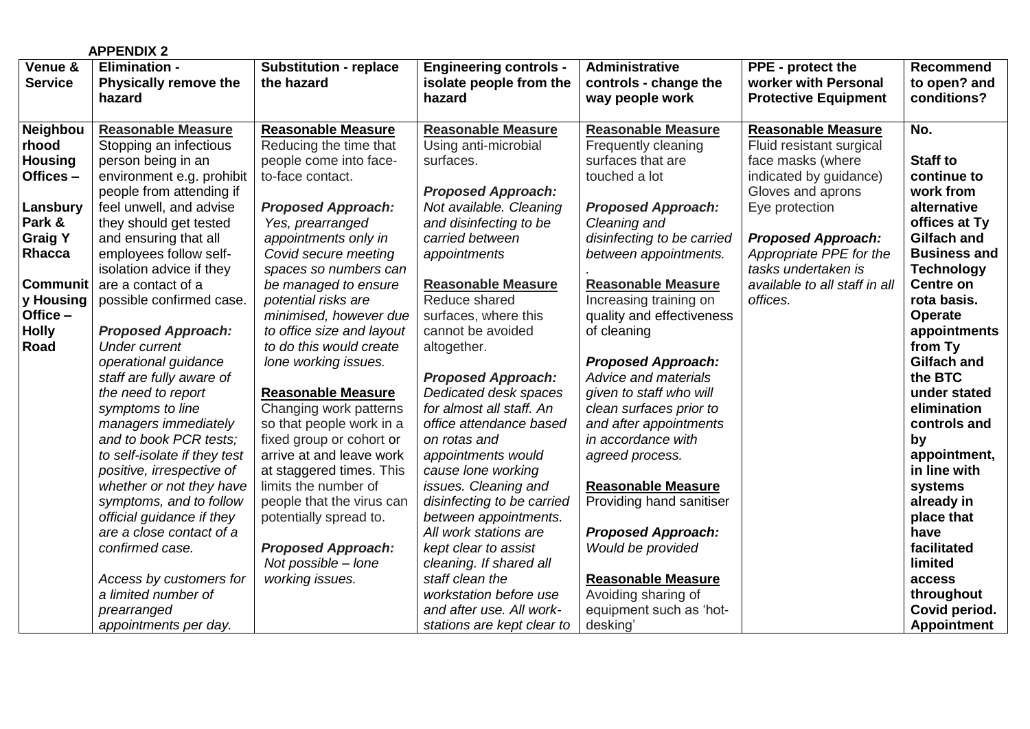|                 | <b>APPENDIX 2</b>                              |                               |                                            |                            |                               |                     |
|-----------------|------------------------------------------------|-------------------------------|--------------------------------------------|----------------------------|-------------------------------|---------------------|
| Venue &         | <b>Elimination -</b>                           | <b>Substitution - replace</b> | <b>Engineering controls -</b>              | Administrative             | PPE - protect the             | <b>Recommend</b>    |
| <b>Service</b>  | <b>Physically remove the</b>                   | the hazard                    | isolate people from the                    | controls - change the      | worker with Personal          | to open? and        |
|                 | hazard                                         |                               | hazard                                     | way people work            | <b>Protective Equipment</b>   | conditions?         |
| Neighbou        | <b>Reasonable Measure</b>                      | <b>Reasonable Measure</b>     | <b>Reasonable Measure</b>                  | <b>Reasonable Measure</b>  | <b>Reasonable Measure</b>     | No.                 |
| rhood           | Stopping an infectious                         | Reducing the time that        | Using anti-microbial                       | Frequently cleaning        | Fluid resistant surgical      |                     |
| <b>Housing</b>  | person being in an                             | people come into face-        | surfaces.                                  | surfaces that are          | face masks (where             | <b>Staff to</b>     |
| Offices-        | environment e.g. prohibit                      | to-face contact.              |                                            | touched a lot              | indicated by guidance)        | continue to         |
|                 | people from attending if                       |                               | <b>Proposed Approach:</b>                  |                            | Gloves and aprons             | work from           |
| Lansbury        | feel unwell, and advise                        | <b>Proposed Approach:</b>     | Not available. Cleaning                    | <b>Proposed Approach:</b>  | Eye protection                | alternative         |
| Park &          | they should get tested                         | Yes, prearranged              | and disinfecting to be                     | Cleaning and               |                               | offices at Ty       |
| <b>Graig Y</b>  | and ensuring that all                          | appointments only in          | carried between                            | disinfecting to be carried | <b>Proposed Approach:</b>     | <b>Gilfach and</b>  |
| Rhacca          | employees follow self-                         | Covid secure meeting          | appointments                               | between appointments.      | Appropriate PPE for the       | <b>Business and</b> |
|                 | isolation advice if they                       | spaces so numbers can         |                                            |                            | tasks undertaken is           | <b>Technology</b>   |
| <b>Communit</b> | are a contact of a                             | be managed to ensure          | <b>Reasonable Measure</b>                  | <b>Reasonable Measure</b>  | available to all staff in all | <b>Centre on</b>    |
| y Housing       | possible confirmed case.                       | potential risks are           | Reduce shared                              | Increasing training on     | offices.                      | rota basis.         |
| Office -        |                                                | minimised, however due        | surfaces, where this                       | quality and effectiveness  |                               | <b>Operate</b>      |
| <b>Holly</b>    | <b>Proposed Approach:</b>                      | to office size and layout     | cannot be avoided                          | of cleaning                |                               | appointments        |
| Road            | <b>Under current</b>                           | to do this would create       | altogether.                                |                            |                               | from Ty             |
|                 | operational guidance                           | lone working issues.          |                                            | <b>Proposed Approach:</b>  |                               | <b>Gilfach and</b>  |
|                 | staff are fully aware of                       |                               | <b>Proposed Approach:</b>                  | Advice and materials       |                               | the BTC             |
|                 | the need to report                             | <b>Reasonable Measure</b>     | Dedicated desk spaces                      | given to staff who will    |                               | under stated        |
|                 | symptoms to line                               | Changing work patterns        | for almost all staff. An                   | clean surfaces prior to    |                               | elimination         |
|                 | managers immediately                           | so that people work in a      | office attendance based                    | and after appointments     |                               | controls and        |
|                 | and to book PCR tests;                         | fixed group or cohort or      | on rotas and                               | in accordance with         |                               | by                  |
|                 | to self-isolate if they test                   | arrive at and leave work      | appointments would                         | agreed process.            |                               | appointment,        |
|                 | positive, irrespective of                      | at staggered times. This      | cause lone working                         |                            |                               | in line with        |
|                 | whether or not they have                       | limits the number of          | issues. Cleaning and                       | <b>Reasonable Measure</b>  |                               | systems             |
|                 | symptoms, and to follow                        | people that the virus can     | disinfecting to be carried                 | Providing hand sanitiser   |                               | already in          |
|                 | official guidance if they                      | potentially spread to.        | between appointments.                      |                            |                               | place that          |
|                 | are a close contact of a                       |                               | All work stations are                      | <b>Proposed Approach:</b>  |                               | have                |
|                 | confirmed case.                                | <b>Proposed Approach:</b>     | kept clear to assist                       | Would be provided          |                               | facilitated         |
|                 |                                                | Not possible - lone           | cleaning. If shared all<br>staff clean the | <b>Reasonable Measure</b>  |                               | limited<br>access   |
|                 | Access by customers for<br>a limited number of | working issues.               | workstation before use                     | Avoiding sharing of        |                               | throughout          |
|                 | prearranged                                    |                               | and after use. All work-                   | equipment such as 'hot-    |                               | Covid period.       |
|                 | appointments per day.                          |                               | stations are kept clear to                 | desking                    |                               | <b>Appointment</b>  |
|                 |                                                |                               |                                            |                            |                               |                     |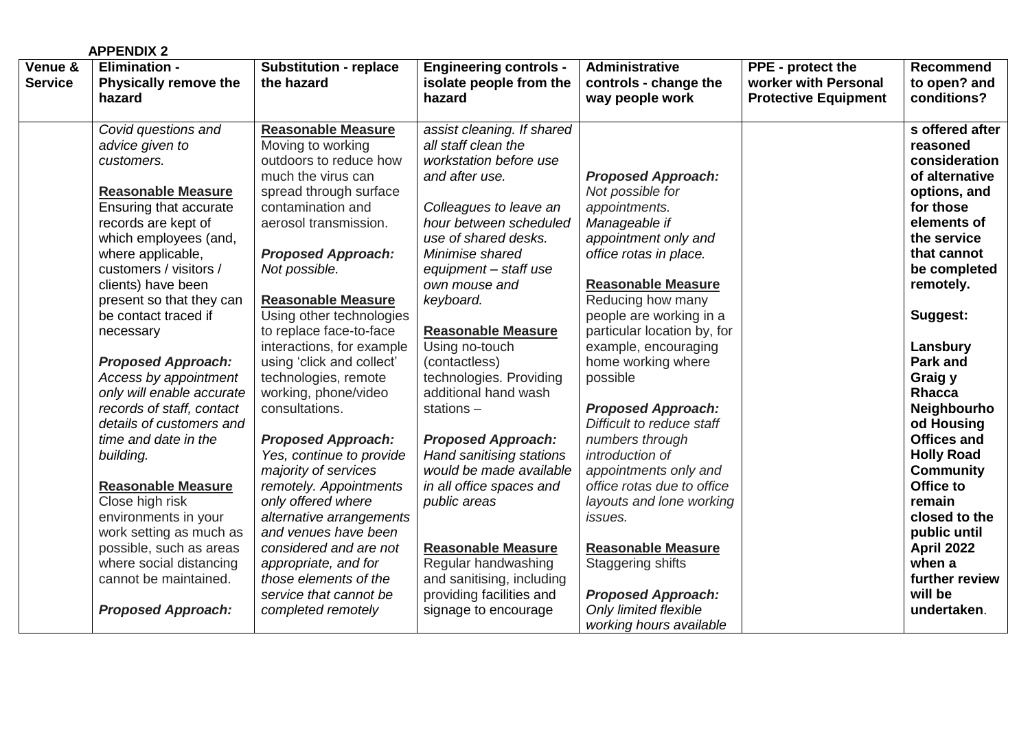|                           | <b>APPENDIX 2</b>                                                                                                                                                                                                                                                                                                                                                                                                                                                                                                                                                                                                                                                                                        |                                                                                                                                                                                                                                                                                                                                                                                                                                                                                                                                                                                                                                                                                                                                                      |                                                                                                                                                                                                                                                                                                                                                                                                                                                                                                                                                                                                                                                          |                                                                                                                                                                                                                                                                                                                                                                                                                                                                                                                                                                                                                      |                                                                          |                                                                                                                                                                                                                                                                                                                                                                                                                                                                             |
|---------------------------|----------------------------------------------------------------------------------------------------------------------------------------------------------------------------------------------------------------------------------------------------------------------------------------------------------------------------------------------------------------------------------------------------------------------------------------------------------------------------------------------------------------------------------------------------------------------------------------------------------------------------------------------------------------------------------------------------------|------------------------------------------------------------------------------------------------------------------------------------------------------------------------------------------------------------------------------------------------------------------------------------------------------------------------------------------------------------------------------------------------------------------------------------------------------------------------------------------------------------------------------------------------------------------------------------------------------------------------------------------------------------------------------------------------------------------------------------------------------|----------------------------------------------------------------------------------------------------------------------------------------------------------------------------------------------------------------------------------------------------------------------------------------------------------------------------------------------------------------------------------------------------------------------------------------------------------------------------------------------------------------------------------------------------------------------------------------------------------------------------------------------------------|----------------------------------------------------------------------------------------------------------------------------------------------------------------------------------------------------------------------------------------------------------------------------------------------------------------------------------------------------------------------------------------------------------------------------------------------------------------------------------------------------------------------------------------------------------------------------------------------------------------------|--------------------------------------------------------------------------|-----------------------------------------------------------------------------------------------------------------------------------------------------------------------------------------------------------------------------------------------------------------------------------------------------------------------------------------------------------------------------------------------------------------------------------------------------------------------------|
| Venue &<br><b>Service</b> | <b>Elimination -</b><br><b>Physically remove the</b><br>hazard                                                                                                                                                                                                                                                                                                                                                                                                                                                                                                                                                                                                                                           | <b>Substitution - replace</b><br>the hazard                                                                                                                                                                                                                                                                                                                                                                                                                                                                                                                                                                                                                                                                                                          | <b>Engineering controls -</b><br>isolate people from the<br>hazard                                                                                                                                                                                                                                                                                                                                                                                                                                                                                                                                                                                       | Administrative<br>controls - change the<br>way people work                                                                                                                                                                                                                                                                                                                                                                                                                                                                                                                                                           | PPE - protect the<br>worker with Personal<br><b>Protective Equipment</b> | <b>Recommend</b><br>to open? and<br>conditions?                                                                                                                                                                                                                                                                                                                                                                                                                             |
|                           | Covid questions and<br>advice given to<br>customers.<br><b>Reasonable Measure</b><br><b>Ensuring that accurate</b><br>records are kept of<br>which employees (and,<br>where applicable,<br>customers / visitors /<br>clients) have been<br>present so that they can<br>be contact traced if<br>necessary<br><b>Proposed Approach:</b><br>Access by appointment<br>only will enable accurate<br>records of staff, contact<br>details of customers and<br>time and date in the<br>building.<br><b>Reasonable Measure</b><br>Close high risk<br>environments in your<br>work setting as much as<br>possible, such as areas<br>where social distancing<br>cannot be maintained.<br><b>Proposed Approach:</b> | <b>Reasonable Measure</b><br>Moving to working<br>outdoors to reduce how<br>much the virus can<br>spread through surface<br>contamination and<br>aerosol transmission.<br><b>Proposed Approach:</b><br>Not possible.<br><b>Reasonable Measure</b><br>Using other technologies<br>to replace face-to-face<br>interactions, for example<br>using 'click and collect'<br>technologies, remote<br>working, phone/video<br>consultations.<br><b>Proposed Approach:</b><br>Yes, continue to provide<br>majority of services<br>remotely. Appointments<br>only offered where<br>alternative arrangements<br>and venues have been<br>considered and are not<br>appropriate, and for<br>those elements of the<br>service that cannot be<br>completed remotely | assist cleaning. If shared<br>all staff clean the<br>workstation before use<br>and after use.<br>Colleagues to leave an<br>hour between scheduled<br>use of shared desks.<br>Minimise shared<br>equipment - staff use<br>own mouse and<br>keyboard.<br><b>Reasonable Measure</b><br>Using no-touch<br>(contactless)<br>technologies. Providing<br>additional hand wash<br>stations-<br><b>Proposed Approach:</b><br>Hand sanitising stations<br>would be made available<br>in all office spaces and<br>public areas<br><b>Reasonable Measure</b><br>Regular handwashing<br>and sanitising, including<br>providing facilities and<br>signage to encourage | <b>Proposed Approach:</b><br>Not possible for<br>appointments.<br>Manageable if<br>appointment only and<br>office rotas in place.<br><b>Reasonable Measure</b><br>Reducing how many<br>people are working in a<br>particular location by, for<br>example, encouraging<br>home working where<br>possible<br><b>Proposed Approach:</b><br>Difficult to reduce staff<br>numbers through<br>introduction of<br>appointments only and<br>office rotas due to office<br>layouts and lone working<br>issues.<br><b>Reasonable Measure</b><br><b>Staggering shifts</b><br><b>Proposed Approach:</b><br>Only limited flexible |                                                                          | s offered after<br>reasoned<br>consideration<br>of alternative<br>options, and<br>for those<br>elements of<br>the service<br>that cannot<br>be completed<br>remotely.<br>Suggest:<br>Lansbury<br><b>Park and</b><br>Graig y<br><b>Rhacca</b><br>Neighbourho<br>od Housing<br><b>Offices and</b><br><b>Holly Road</b><br><b>Community</b><br>Office to<br>remain<br>closed to the<br>public until<br><b>April 2022</b><br>when a<br>further review<br>will be<br>undertaken. |
|                           |                                                                                                                                                                                                                                                                                                                                                                                                                                                                                                                                                                                                                                                                                                          |                                                                                                                                                                                                                                                                                                                                                                                                                                                                                                                                                                                                                                                                                                                                                      |                                                                                                                                                                                                                                                                                                                                                                                                                                                                                                                                                                                                                                                          | working hours available                                                                                                                                                                                                                                                                                                                                                                                                                                                                                                                                                                                              |                                                                          |                                                                                                                                                                                                                                                                                                                                                                                                                                                                             |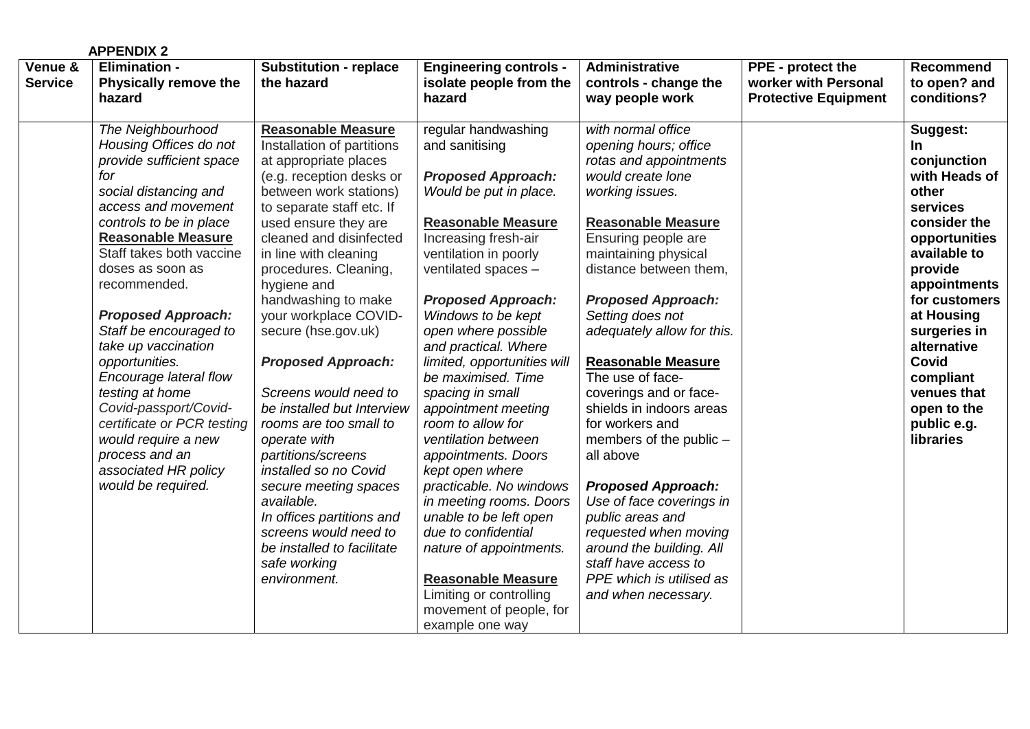|                           | <b>APPENDIX 2</b>                                                                                                                                                                                                                                                                                                                                                                                                                                                                                                                                 |                                                                                                                                                                                                                                                                                                                                                                                                                                                                                                                                                                                                                                                                                                        |                                                                                                                                                                                                                                                                                                                                                                                                                                                                                                                                                                                                                                                                                                                                   |                                                                                                                                                                                                                                                                                                                                                                                                                                                                                                                                                                                                                                                                                   |                                                                          |                                                                                                                                                                                                                                                                                                       |
|---------------------------|---------------------------------------------------------------------------------------------------------------------------------------------------------------------------------------------------------------------------------------------------------------------------------------------------------------------------------------------------------------------------------------------------------------------------------------------------------------------------------------------------------------------------------------------------|--------------------------------------------------------------------------------------------------------------------------------------------------------------------------------------------------------------------------------------------------------------------------------------------------------------------------------------------------------------------------------------------------------------------------------------------------------------------------------------------------------------------------------------------------------------------------------------------------------------------------------------------------------------------------------------------------------|-----------------------------------------------------------------------------------------------------------------------------------------------------------------------------------------------------------------------------------------------------------------------------------------------------------------------------------------------------------------------------------------------------------------------------------------------------------------------------------------------------------------------------------------------------------------------------------------------------------------------------------------------------------------------------------------------------------------------------------|-----------------------------------------------------------------------------------------------------------------------------------------------------------------------------------------------------------------------------------------------------------------------------------------------------------------------------------------------------------------------------------------------------------------------------------------------------------------------------------------------------------------------------------------------------------------------------------------------------------------------------------------------------------------------------------|--------------------------------------------------------------------------|-------------------------------------------------------------------------------------------------------------------------------------------------------------------------------------------------------------------------------------------------------------------------------------------------------|
| Venue &<br><b>Service</b> | <b>Elimination -</b><br><b>Physically remove the</b><br>hazard                                                                                                                                                                                                                                                                                                                                                                                                                                                                                    | <b>Substitution - replace</b><br>the hazard                                                                                                                                                                                                                                                                                                                                                                                                                                                                                                                                                                                                                                                            | <b>Engineering controls -</b><br>isolate people from the<br>hazard                                                                                                                                                                                                                                                                                                                                                                                                                                                                                                                                                                                                                                                                | Administrative<br>controls - change the<br>way people work                                                                                                                                                                                                                                                                                                                                                                                                                                                                                                                                                                                                                        | PPE - protect the<br>worker with Personal<br><b>Protective Equipment</b> | <b>Recommend</b><br>to open? and<br>conditions?                                                                                                                                                                                                                                                       |
|                           | The Neighbourhood<br>Housing Offices do not<br>provide sufficient space<br>for<br>social distancing and<br>access and movement<br>controls to be in place<br><b>Reasonable Measure</b><br>Staff takes both vaccine<br>doses as soon as<br>recommended.<br><b>Proposed Approach:</b><br>Staff be encouraged to<br>take up vaccination<br>opportunities.<br>Encourage lateral flow<br>testing at home<br>Covid-passport/Covid-<br>certificate or PCR testing<br>would require a new<br>process and an<br>associated HR policy<br>would be required. | <b>Reasonable Measure</b><br>Installation of partitions<br>at appropriate places<br>(e.g. reception desks or<br>between work stations)<br>to separate staff etc. If<br>used ensure they are<br>cleaned and disinfected<br>in line with cleaning<br>procedures. Cleaning,<br>hygiene and<br>handwashing to make<br>your workplace COVID-<br>secure (hse.gov.uk)<br><b>Proposed Approach:</b><br>Screens would need to<br>be installed but Interview<br>rooms are too small to<br>operate with<br>partitions/screens<br>installed so no Covid<br>secure meeting spaces<br>available.<br>In offices partitions and<br>screens would need to<br>be installed to facilitate<br>safe working<br>environment. | regular handwashing<br>and sanitising<br><b>Proposed Approach:</b><br>Would be put in place.<br><b>Reasonable Measure</b><br>Increasing fresh-air<br>ventilation in poorly<br>ventilated spaces -<br><b>Proposed Approach:</b><br>Windows to be kept<br>open where possible<br>and practical. Where<br>limited, opportunities will<br>be maximised. Time<br>spacing in small<br>appointment meeting<br>room to allow for<br>ventilation between<br>appointments. Doors<br>kept open where<br>practicable. No windows<br>in meeting rooms. Doors<br>unable to be left open<br>due to confidential<br>nature of appointments.<br><b>Reasonable Measure</b><br>Limiting or controlling<br>movement of people, for<br>example one way | with normal office<br>opening hours; office<br>rotas and appointments<br>would create lone<br>working issues.<br><b>Reasonable Measure</b><br>Ensuring people are<br>maintaining physical<br>distance between them,<br><b>Proposed Approach:</b><br>Setting does not<br>adequately allow for this.<br><b>Reasonable Measure</b><br>The use of face-<br>coverings and or face-<br>shields in indoors areas<br>for workers and<br>members of the public -<br>all above<br><b>Proposed Approach:</b><br>Use of face coverings in<br>public areas and<br>requested when moving<br>around the building. All<br>staff have access to<br>PPE which is utilised as<br>and when necessary. |                                                                          | Suggest:<br>In.<br>conjunction<br>with Heads of<br>other<br>services<br>consider the<br>opportunities<br>available to<br>provide<br>appointments<br>for customers<br>at Housing<br>surgeries in<br>alternative<br><b>Covid</b><br>compliant<br>venues that<br>open to the<br>public e.g.<br>libraries |
|                           |                                                                                                                                                                                                                                                                                                                                                                                                                                                                                                                                                   |                                                                                                                                                                                                                                                                                                                                                                                                                                                                                                                                                                                                                                                                                                        |                                                                                                                                                                                                                                                                                                                                                                                                                                                                                                                                                                                                                                                                                                                                   |                                                                                                                                                                                                                                                                                                                                                                                                                                                                                                                                                                                                                                                                                   |                                                                          |                                                                                                                                                                                                                                                                                                       |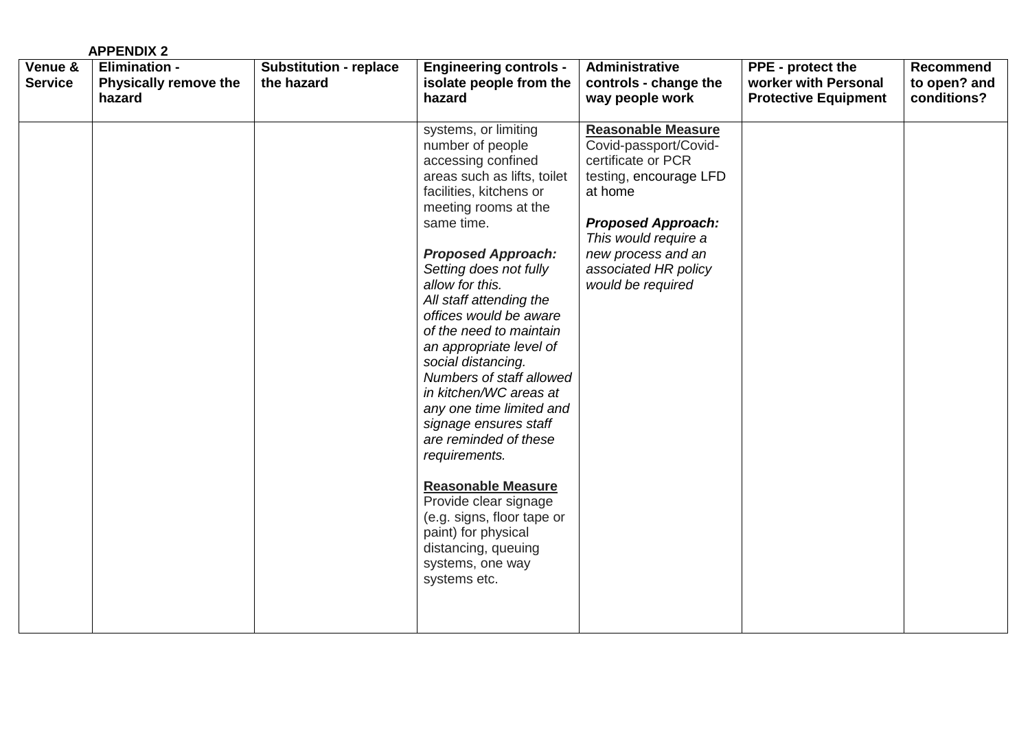|                           | <b>APPENDIX 2</b>                                              |                                             |                                                                                                                                                                                                                                                                                                                                                                                                                                                                                                                                                                                                                                                                                                      |                                                                                                                                                                                                                                       |                                                                                 |                                                 |
|---------------------------|----------------------------------------------------------------|---------------------------------------------|------------------------------------------------------------------------------------------------------------------------------------------------------------------------------------------------------------------------------------------------------------------------------------------------------------------------------------------------------------------------------------------------------------------------------------------------------------------------------------------------------------------------------------------------------------------------------------------------------------------------------------------------------------------------------------------------------|---------------------------------------------------------------------------------------------------------------------------------------------------------------------------------------------------------------------------------------|---------------------------------------------------------------------------------|-------------------------------------------------|
| Venue &<br><b>Service</b> | <b>Elimination -</b><br><b>Physically remove the</b><br>hazard | <b>Substitution - replace</b><br>the hazard | <b>Engineering controls -</b><br>isolate people from the<br>hazard                                                                                                                                                                                                                                                                                                                                                                                                                                                                                                                                                                                                                                   | Administrative<br>controls - change the<br>way people work                                                                                                                                                                            | <b>PPE</b> - protect the<br>worker with Personal<br><b>Protective Equipment</b> | <b>Recommend</b><br>to open? and<br>conditions? |
|                           |                                                                |                                             | systems, or limiting<br>number of people<br>accessing confined<br>areas such as lifts, toilet<br>facilities, kitchens or<br>meeting rooms at the<br>same time.<br><b>Proposed Approach:</b><br>Setting does not fully<br>allow for this.<br>All staff attending the<br>offices would be aware<br>of the need to maintain<br>an appropriate level of<br>social distancing.<br>Numbers of staff allowed<br>in kitchen/WC areas at<br>any one time limited and<br>signage ensures staff<br>are reminded of these<br>requirements.<br><b>Reasonable Measure</b><br>Provide clear signage<br>(e.g. signs, floor tape or<br>paint) for physical<br>distancing, queuing<br>systems, one way<br>systems etc. | <b>Reasonable Measure</b><br>Covid-passport/Covid-<br>certificate or PCR<br>testing, encourage LFD<br>at home<br><b>Proposed Approach:</b><br>This would require a<br>new process and an<br>associated HR policy<br>would be required |                                                                                 |                                                 |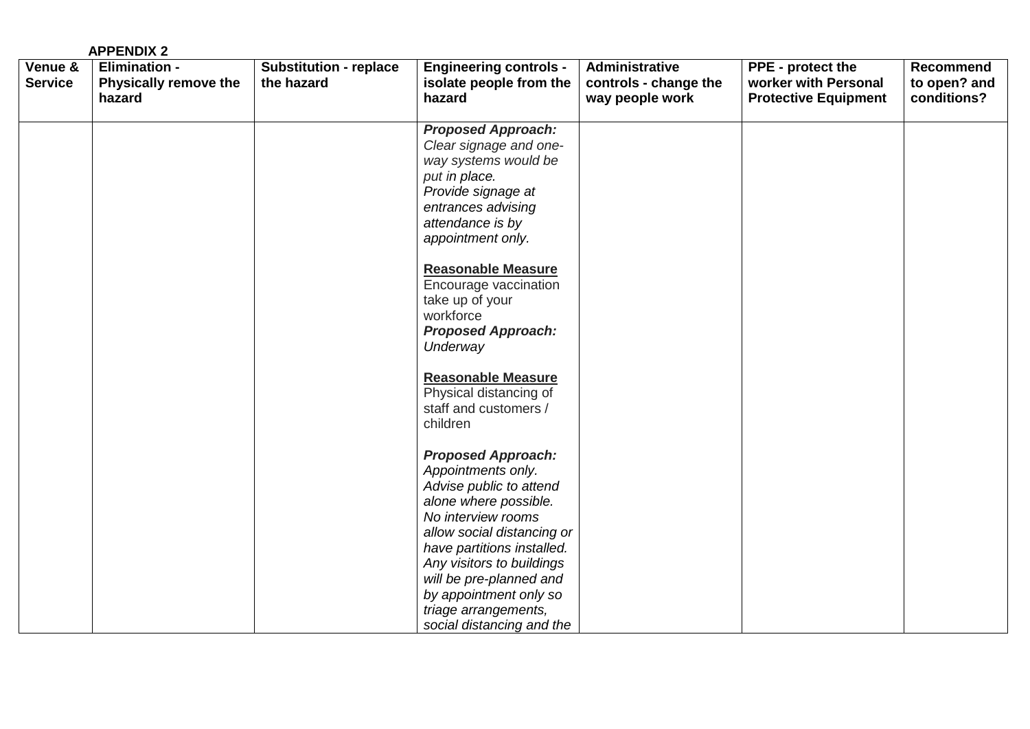|                           | <b>APPENDIX 2</b>                                              |                                             |                                                                                                                                                                                                                                                                                                                              |                                                            |                                                                                 |                                                 |
|---------------------------|----------------------------------------------------------------|---------------------------------------------|------------------------------------------------------------------------------------------------------------------------------------------------------------------------------------------------------------------------------------------------------------------------------------------------------------------------------|------------------------------------------------------------|---------------------------------------------------------------------------------|-------------------------------------------------|
| Venue &<br><b>Service</b> | <b>Elimination -</b><br><b>Physically remove the</b><br>hazard | <b>Substitution - replace</b><br>the hazard | <b>Engineering controls -</b><br>isolate people from the<br>hazard                                                                                                                                                                                                                                                           | Administrative<br>controls - change the<br>way people work | <b>PPE</b> - protect the<br>worker with Personal<br><b>Protective Equipment</b> | <b>Recommend</b><br>to open? and<br>conditions? |
|                           |                                                                |                                             | <b>Proposed Approach:</b><br>Clear signage and one-<br>way systems would be<br>put in place.<br>Provide signage at<br>entrances advising<br>attendance is by<br>appointment only.                                                                                                                                            |                                                            |                                                                                 |                                                 |
|                           |                                                                |                                             | <b>Reasonable Measure</b><br>Encourage vaccination<br>take up of your<br>workforce<br><b>Proposed Approach:</b><br>Underway                                                                                                                                                                                                  |                                                            |                                                                                 |                                                 |
|                           |                                                                |                                             | <b>Reasonable Measure</b><br>Physical distancing of<br>staff and customers /<br>children                                                                                                                                                                                                                                     |                                                            |                                                                                 |                                                 |
|                           |                                                                |                                             | <b>Proposed Approach:</b><br>Appointments only.<br>Advise public to attend<br>alone where possible.<br>No interview rooms<br>allow social distancing or<br>have partitions installed.<br>Any visitors to buildings<br>will be pre-planned and<br>by appointment only so<br>triage arrangements,<br>social distancing and the |                                                            |                                                                                 |                                                 |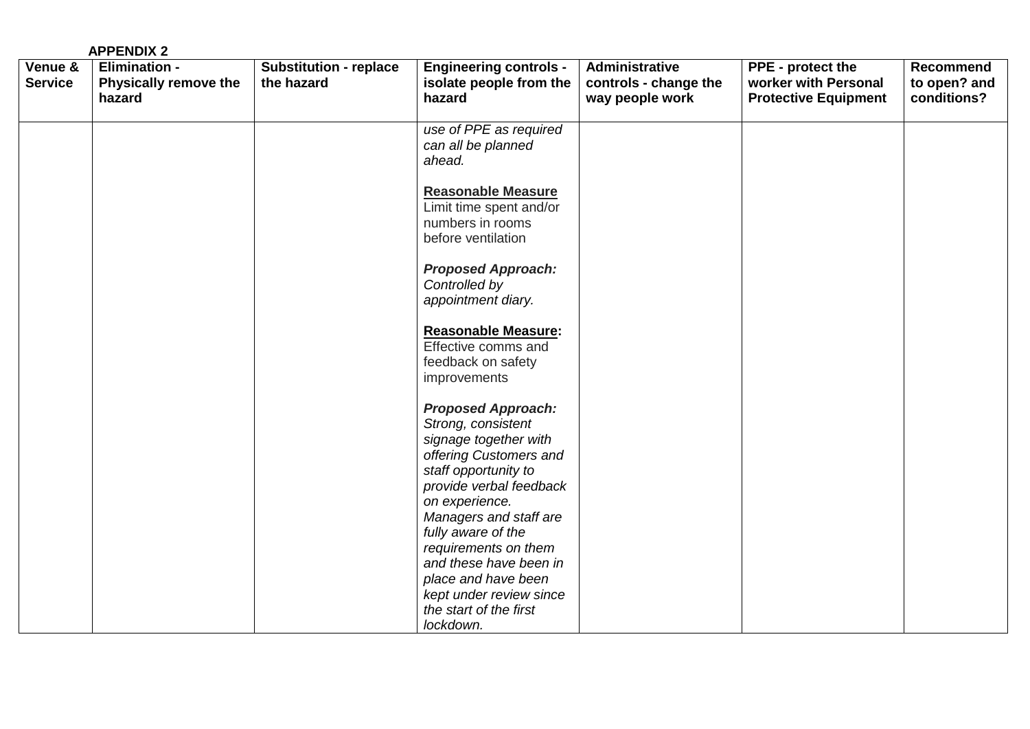|                           | <b>APPENDIX 2</b>                                              |                                             |                                                                                                                                                       |                                                            |                                                                                 |                                          |
|---------------------------|----------------------------------------------------------------|---------------------------------------------|-------------------------------------------------------------------------------------------------------------------------------------------------------|------------------------------------------------------------|---------------------------------------------------------------------------------|------------------------------------------|
| Venue &<br><b>Service</b> | <b>Elimination -</b><br><b>Physically remove the</b><br>hazard | <b>Substitution - replace</b><br>the hazard | <b>Engineering controls -</b><br>isolate people from the<br>hazard                                                                                    | Administrative<br>controls - change the<br>way people work | <b>PPE</b> - protect the<br>worker with Personal<br><b>Protective Equipment</b> | Recommend<br>to open? and<br>conditions? |
|                           |                                                                |                                             | use of PPE as required<br>can all be planned<br>ahead.                                                                                                |                                                            |                                                                                 |                                          |
|                           |                                                                |                                             | <b>Reasonable Measure</b><br>Limit time spent and/or<br>numbers in rooms<br>before ventilation                                                        |                                                            |                                                                                 |                                          |
|                           |                                                                |                                             | <b>Proposed Approach:</b><br>Controlled by<br>appointment diary.                                                                                      |                                                            |                                                                                 |                                          |
|                           |                                                                |                                             | <b>Reasonable Measure:</b><br>Effective comms and<br>feedback on safety<br>improvements                                                               |                                                            |                                                                                 |                                          |
|                           |                                                                |                                             | <b>Proposed Approach:</b><br>Strong, consistent<br>signage together with<br>offering Customers and<br>staff opportunity to<br>provide verbal feedback |                                                            |                                                                                 |                                          |
|                           |                                                                |                                             | on experience.<br>Managers and staff are<br>fully aware of the<br>requirements on them<br>and these have been in                                      |                                                            |                                                                                 |                                          |
|                           |                                                                |                                             | place and have been<br>kept under review since<br>the start of the first<br>lockdown.                                                                 |                                                            |                                                                                 |                                          |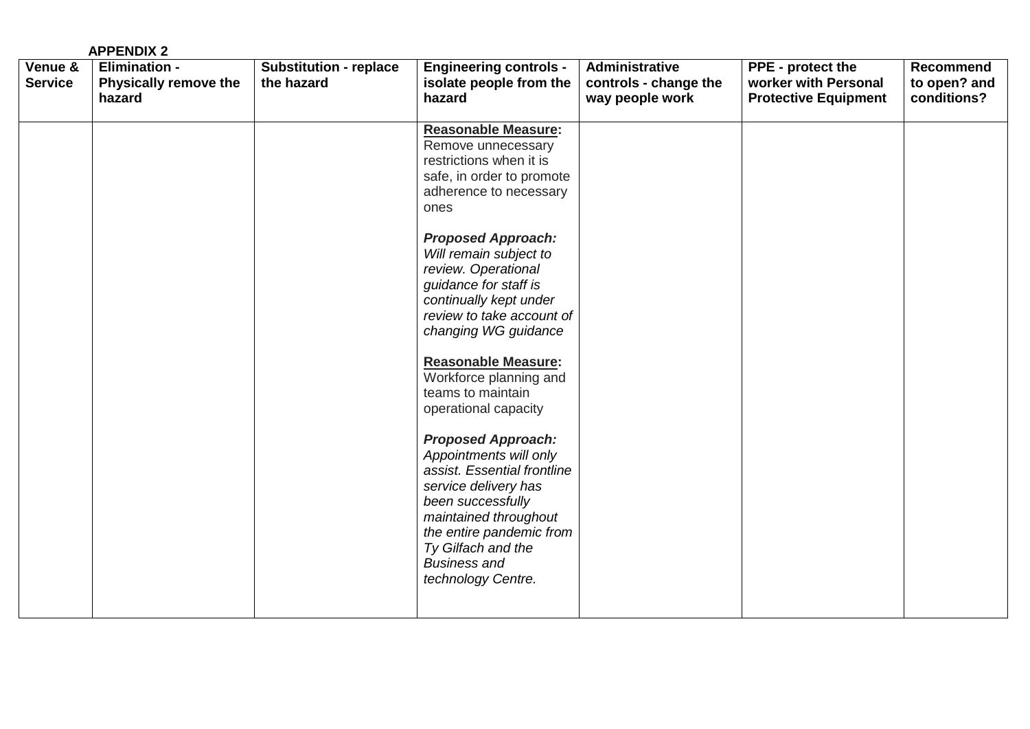|                           | <b>APPENDIX 2</b>                                       |                                             |                                                                                                                                                                                                                                                                                                                                                                                                                                                                                                                                                                                                                                                                                                  |                                                            |                                                                          |                                                 |
|---------------------------|---------------------------------------------------------|---------------------------------------------|--------------------------------------------------------------------------------------------------------------------------------------------------------------------------------------------------------------------------------------------------------------------------------------------------------------------------------------------------------------------------------------------------------------------------------------------------------------------------------------------------------------------------------------------------------------------------------------------------------------------------------------------------------------------------------------------------|------------------------------------------------------------|--------------------------------------------------------------------------|-------------------------------------------------|
| Venue &<br><b>Service</b> | <b>Elimination -</b><br>Physically remove the<br>hazard | <b>Substitution - replace</b><br>the hazard | <b>Engineering controls -</b><br>isolate people from the<br>hazard                                                                                                                                                                                                                                                                                                                                                                                                                                                                                                                                                                                                                               | Administrative<br>controls - change the<br>way people work | PPE - protect the<br>worker with Personal<br><b>Protective Equipment</b> | <b>Recommend</b><br>to open? and<br>conditions? |
|                           |                                                         |                                             | <b>Reasonable Measure:</b><br>Remove unnecessary<br>restrictions when it is<br>safe, in order to promote<br>adherence to necessary<br>ones<br><b>Proposed Approach:</b><br>Will remain subject to<br>review. Operational<br>guidance for staff is<br>continually kept under<br>review to take account of<br>changing WG guidance<br><b>Reasonable Measure:</b><br>Workforce planning and<br>teams to maintain<br>operational capacity<br><b>Proposed Approach:</b><br>Appointments will only<br>assist. Essential frontline<br>service delivery has<br>been successfully<br>maintained throughout<br>the entire pandemic from<br>Ty Gilfach and the<br><b>Business and</b><br>technology Centre. |                                                            |                                                                          |                                                 |